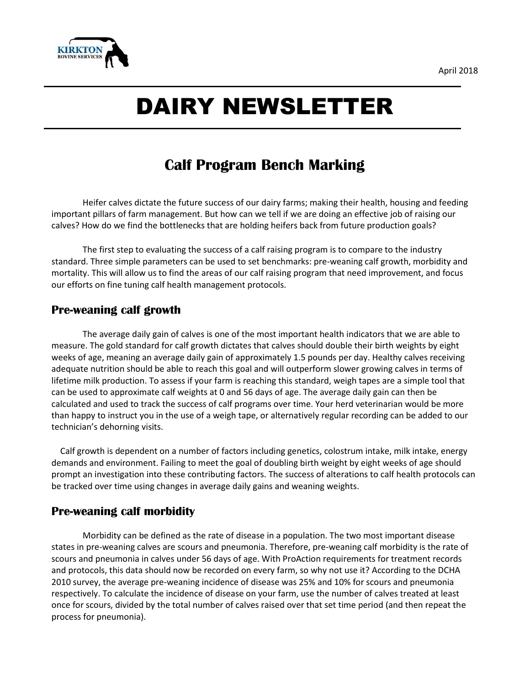

# DAIRY NEWSLETTER

# **Calf Program Bench Marking**

Heifer calves dictate the future success of our dairy farms; making their health, housing and feeding important pillars of farm management. But how can we tell if we are doing an effective job of raising our calves? How do we find the bottlenecks that are holding heifers back from future production goals?

The first step to evaluating the success of a calf raising program is to compare to the industry standard. Three simple parameters can be used to set benchmarks: pre-weaning calf growth, morbidity and mortality. This will allow us to find the areas of our calf raising program that need improvement, and focus our efforts on fine tuning calf health management protocols.

## **Pre-weaning calf growth**

The average daily gain of calves is one of the most important health indicators that we are able to measure. The gold standard for calf growth dictates that calves should double their birth weights by eight weeks of age, meaning an average daily gain of approximately 1.5 pounds per day. Healthy calves receiving adequate nutrition should be able to reach this goal and will outperform slower growing calves in terms of lifetime milk production. To assess if your farm is reaching this standard, weigh tapes are a simple tool that can be used to approximate calf weights at 0 and 56 days of age. The average daily gain can then be calculated and used to track the success of calf programs over time. Your herd veterinarian would be more than happy to instruct you in the use of a weigh tape, or alternatively regular recording can be added to our technician's dehorning visits.

 Calf growth is dependent on a number of factors including genetics, colostrum intake, milk intake, energy demands and environment. Failing to meet the goal of doubling birth weight by eight weeks of age should prompt an investigation into these contributing factors. The success of alterations to calf health protocols can be tracked over time using changes in average daily gains and weaning weights.

#### **Pre-weaning calf morbidity**

Morbidity can be defined as the rate of disease in a population. The two most important disease states in pre-weaning calves are scours and pneumonia. Therefore, pre-weaning calf morbidity is the rate of scours and pneumonia in calves under 56 days of age. With ProAction requirements for treatment records and protocols, this data should now be recorded on every farm, so why not use it? According to the DCHA 2010 survey, the average pre-weaning incidence of disease was 25% and 10% for scours and pneumonia respectively. To calculate the incidence of disease on your farm, use the number of calves treated at least once for scours, divided by the total number of calves raised over that set time period (and then repeat the process for pneumonia).